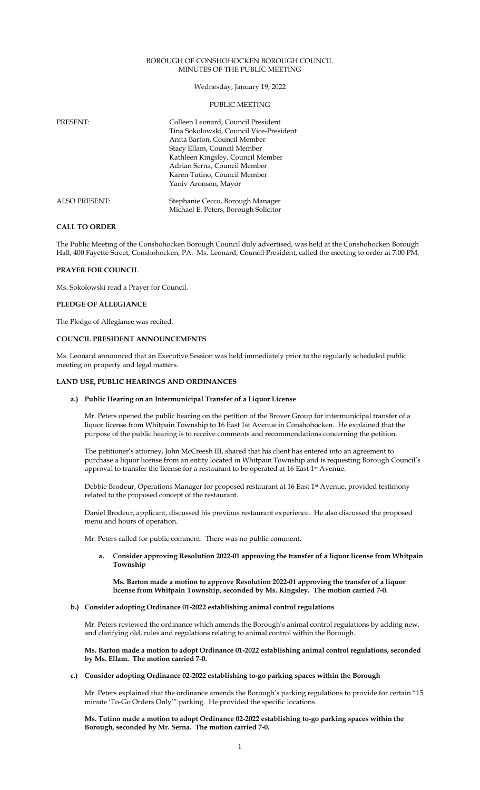## BOROUGH OF CONSHOHOCKEN BOROUGH COUNCIL MINUTES OF THE PUBLIC MEETING

Wednesday, January 19, 2022

### PUBLIC MEETING

| PRESENT:             | Colleen Leonard, Council President<br>Tina Sokolowski, Council Vice-President<br>Anita Barton, Council Member<br>Stacy Ellam, Council Member<br>Kathleen Kingsley, Council Member<br>Adrian Serna, Council Member<br>Karen Tutino, Council Member<br>Yaniv Aronson, Mayor |
|----------------------|---------------------------------------------------------------------------------------------------------------------------------------------------------------------------------------------------------------------------------------------------------------------------|
| <b>ALSO PRESENT:</b> | Stephanie Cecco, Borough Manager<br>Michael E. Peters, Borough Solicitor                                                                                                                                                                                                  |

## **CALL TO ORDER**

The Public Meeting of the Conshohocken Borough Council duly advertised, was held at the Conshohocken Borough Hall, 400 Fayette Street, Conshohocken, PA. Ms. Leonard, Council President, called the meeting to order at 7:00 PM.

## **PRAYER FOR COUNCIL**

Ms. Sokolowski read a Prayer for Council.

#### **PLEDGE OF ALLEGIANCE**

The Pledge of Allegiance was recited.

## **COUNCIL PRESIDENT ANNOUNCEMENTS**

Ms. Leonard announced that an Executive Session was held immediately prior to the regularly scheduled public meeting on property and legal matters.

## **LAND USE, PUBLIC HEARINGS AND ORDINANCES**

#### **a.) Public Hearing on an Intermunicipal Transfer of a Liquor License**

Mr. Peters opened the public hearing on the petition of the Brover Group for intermunicipal transfer of a liquor license from Whitpain Township to 16 East 1st Avenue in Conshohocken. He explained that the purpose of the public hearing is to receive comments and recommendations concerning the petition.

The petitioner's attorney, John McCreesh III, shared that his client has entered into an agreement to purchase a liquor license from an entity located in Whitpain Township and is requesting Borough Council's approval to transfer the license for a restaurant to be operated at 16 East 1st Avenue.

Debbie Brodeur, Operations Manager for proposed restaurant at 16 East 1st Avenue, provided testimony related to the proposed concept of the restaurant.

Daniel Brodeur, applicant, discussed his previous restaurant experience. He also discussed the proposed menu and hours of operation.

Mr. Peters called for public comment. There was no public comment.

**a. Consider approving Resolution 2022-01 approving the transfer of a liquor license from Whitpain Township**

### **Ms. Barton made a motion to approve Resolution 2022-01 approving the transfer of a liquor license from Whitpain Township, seconded by Ms. Kingsley. The motion carried 7-0.**

### **b.) Consider adopting Ordinance 01-2022 establishing animal control regulations**

Mr. Peters reviewed the ordinance which amends the Borough's animal control regulations by adding new, and clarifying old, rules and regulations relating to animal control within the Borough.

**Ms. Barton made a motion to adopt Ordinance 01-2022 establishing animal control regulations, seconded by Ms. Ellam. The motion carried 7-0.** 

**c.) Consider adopting Ordinance 02-2022 establishing to-go parking spaces within the Borough**

Mr. Peters explained that the ordinance amends the Borough's parking regulations to provide for certain "15 minute 'To-Go Orders Only'" parking. He provided the specific locations.

**Ms. Tutino made a motion to adopt Ordinance 02-2022 establishing to-go parking spaces within the Borough, seconded by Mr. Serna. The motion carried 7-0.**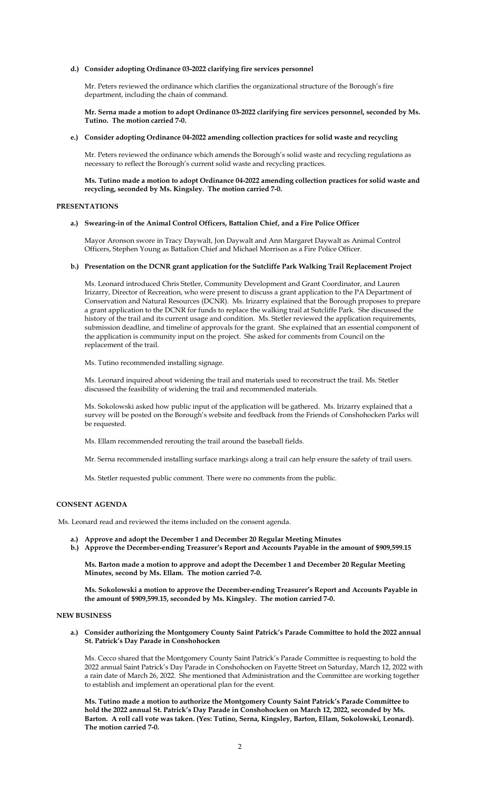## **d.) Consider adopting Ordinance 03-2022 clarifying fire services personnel**

Mr. Peters reviewed the ordinance which clarifies the organizational structure of the Borough's fire department, including the chain of command.

**Mr. Serna made a motion to adopt Ordinance 03-2022 clarifying fire services personnel, seconded by Ms. Tutino. The motion carried 7-0.** 

#### **e.) Consider adopting Ordinance 04-2022 amending collection practices for solid waste and recycling**

Mr. Peters reviewed the ordinance which amends the Borough's solid waste and recycling regulations as necessary to reflect the Borough's current solid waste and recycling practices.

**Ms. Tutino made a motion to adopt Ordinance 04-2022 amending collection practices for solid waste and recycling, seconded by Ms. Kingsley. The motion carried 7-0.** 

## **PRESENTATIONS**

#### **a.) Swearing-in of the Animal Control Officers, Battalion Chief, and a Fire Police Officer**

Mayor Aronson swore in Tracy Daywalt, Jon Daywalt and Ann Margaret Daywalt as Animal Control Officers, Stephen Young as Battalion Chief and Michael Morrison as a Fire Police Officer.

## **b.) Presentation on the DCNR grant application for the Sutcliffe Park Walking Trail Replacement Project**

Ms. Leonard introduced Chris Stetler, Community Development and Grant Coordinator, and Lauren Irizarry, Director of Recreation, who were present to discuss a grant application to the PA Department of Conservation and Natural Resources (DCNR). Ms. Irizarry explained that the Borough proposes to prepare a grant application to the DCNR for funds to replace the walking trail at Sutcliffe Park. She discussed the history of the trail and its current usage and condition. Ms. Stetler reviewed the application requirements, submission deadline, and timeline of approvals for the grant. She explained that an essential component of the application is community input on the project. She asked for comments from Council on the replacement of the trail.

Ms. Tutino recommended installing signage.

Ms. Leonard inquired about widening the trail and materials used to reconstruct the trail. Ms. Stetler discussed the feasibility of widening the trail and recommended materials.

Ms. Sokolowski asked how public input of the application will be gathered. Ms. Irizarry explained that a survey will be posted on the Borough's website and feedback from the Friends of Conshohocken Parks will be requested.

Ms. Ellam recommended rerouting the trail around the baseball fields.

Mr. Serna recommended installing surface markings along a trail can help ensure the safety of trail users.

Ms. Stetler requested public comment. There were no comments from the public.

#### **CONSENT AGENDA**

Ms. Leonard read and reviewed the items included on the consent agenda.

- **a.) Approve and adopt the December 1 and December 20 Regular Meeting Minutes**
- **b.) Approve the December-ending Treasurer's Report and Accounts Payable in the amount of \$909,599.15**

**Ms. Barton made a motion to approve and adopt the December 1 and December 20 Regular Meeting Minutes, second by Ms. Ellam. The motion carried 7-0.**

**Ms. Sokolowski a motion to approve the December-ending Treasurer's Report and Accounts Payable in the amount of \$909,599.15, seconded by Ms. Kingsley. The motion carried 7-0.**

### **NEW BUSINESS**

**a.) Consider authorizing the Montgomery County Saint Patrick's Parade Committee to hold the 2022 annual St. Patrick's Day Parade in Conshohocken** 

Ms. Cecco shared that the Montgomery County Saint Patrick's Parade Committee is requesting to hold the 2022 annual Saint Patrick's Day Parade in Conshohocken on Fayette Street on Saturday, March 12, 2022 with a rain date of March 26, 2022. She mentioned that Administration and the Committee are working together to establish and implement an operational plan for the event.

**Ms. Tutino made a motion to authorize the Montgomery County Saint Patrick's Parade Committee to hold the 2022 annual St. Patrick's Day Parade in Conshohocken on March 12, 2022, seconded by Ms. Barton. A roll call vote was taken. (Yes: Tutino, Serna, Kingsley, Barton, Ellam, Sokolowski, Leonard). The motion carried 7-0.**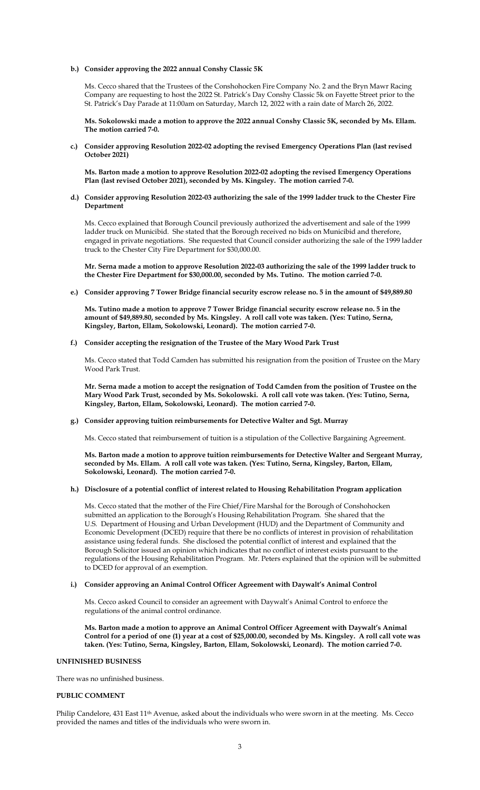## **b.) Consider approving the 2022 annual Conshy Classic 5K**

Ms. Cecco shared that the Trustees of the Conshohocken Fire Company No. 2 and the Bryn Mawr Racing Company are requesting to host the 2022 St. Patrick's Day Conshy Classic 5k on Fayette Street prior to the St. Patrick's Day Parade at 11:00am on Saturday, March 12, 2022 with a rain date of March 26, 2022.

**Ms. Sokolowski made a motion to approve the 2022 annual Conshy Classic 5K, seconded by Ms. Ellam. The motion carried 7-0.** 

**c.) Consider approving Resolution 2022-02 adopting the revised Emergency Operations Plan (last revised October 2021)**

**Ms. Barton made a motion to approve Resolution 2022-02 adopting the revised Emergency Operations Plan (last revised October 2021), seconded by Ms. Kingsley. The motion carried 7-0.** 

**d.) Consider approving Resolution 2022-03 authorizing the sale of the 1999 ladder truck to the Chester Fire Department** 

Ms. Cecco explained that Borough Council previously authorized the advertisement and sale of the 1999 ladder truck on Municibid. She stated that the Borough received no bids on Municibid and therefore, engaged in private negotiations. She requested that Council consider authorizing the sale of the 1999 ladder truck to the Chester City Fire Department for \$30,000.00.

**Mr. Serna made a motion to approve Resolution 2022-03 authorizing the sale of the 1999 ladder truck to the Chester Fire Department for \$30,000.00, seconded by Ms. Tutino. The motion carried 7-0.** 

**e.) Consider approving 7 Tower Bridge financial security escrow release no. 5 in the amount of \$49,889.80**

**Ms. Tutino made a motion to approve 7 Tower Bridge financial security escrow release no. 5 in the amount of \$49,889.80, seconded by Ms. Kingsley. A roll call vote was taken. (Yes: Tutino, Serna, Kingsley, Barton, Ellam, Sokolowski, Leonard). The motion carried 7-0.**

**f.) Consider accepting the resignation of the Trustee of the Mary Wood Park Trust** 

Ms. Cecco stated that Todd Camden has submitted his resignation from the position of Trustee on the Mary Wood Park Trust.

**Mr. Serna made a motion to accept the resignation of Todd Camden from the position of Trustee on the Mary Wood Park Trust, seconded by Ms. Sokolowski. A roll call vote was taken. (Yes: Tutino, Serna, Kingsley, Barton, Ellam, Sokolowski, Leonard). The motion carried 7-0.**

**g.) Consider approving tuition reimbursements for Detective Walter and Sgt. Murray** 

Ms. Cecco stated that reimbursement of tuition is a stipulation of the Collective Bargaining Agreement.

**Ms. Barton made a motion to approve tuition reimbursements for Detective Walter and Sergeant Murray, seconded by Ms. Ellam. A roll call vote was taken. (Yes: Tutino, Serna, Kingsley, Barton, Ellam, Sokolowski, Leonard). The motion carried 7-0.**

## **h.) Disclosure of a potential conflict of interest related to Housing Rehabilitation Program application**

Ms. Cecco stated that the mother of the Fire Chief/Fire Marshal for the Borough of Conshohocken submitted an application to the Borough's Housing Rehabilitation Program. She shared that the U.S. Department of Housing and Urban Development (HUD) and the Department of Community and Economic Development (DCED) require that there be no conflicts of interest in provision of rehabilitation assistance using federal funds. She disclosed the potential conflict of interest and explained that the Borough Solicitor issued an opinion which indicates that no conflict of interest exists pursuant to the regulations of the Housing Rehabilitation Program. Mr. Peters explained that the opinion will be submitted to DCED for approval of an exemption.

## **i.) Consider approving an Animal Control Officer Agreement with Daywalt's Animal Control**

Ms. Cecco asked Council to consider an agreement with Daywalt's Animal Control to enforce the regulations of the animal control ordinance.

**Ms. Barton made a motion to approve an Animal Control Officer Agreement with Daywalt's Animal Control for a period of one (1) year at a cost of \$25,000.00, seconded by Ms. Kingsley. A roll call vote was taken. (Yes: Tutino, Serna, Kingsley, Barton, Ellam, Sokolowski, Leonard). The motion carried 7-0.**

### **UNFINISHED BUSINESS**

There was no unfinished business.

### **PUBLIC COMMENT**

Philip Candelore, 431 East 11<sup>th</sup> Avenue, asked about the individuals who were sworn in at the meeting. Ms. Cecco provided the names and titles of the individuals who were sworn in.